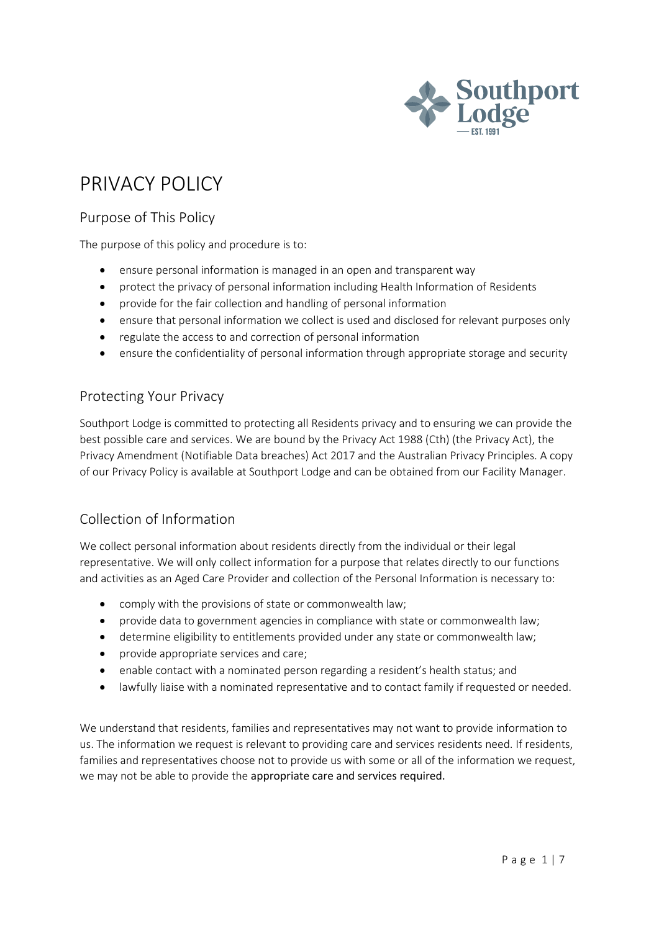

# PRIVACY POLICY

# Purpose of This Policy

The purpose of this policy and procedure is to:

- ensure personal information is managed in an open and transparent way
- protect the privacy of personal information including Health Information of Residents
- provide for the fair collection and handling of personal information
- ensure that personal information we collect is used and disclosed for relevant purposes only
- regulate the access to and correction of personal information
- ensure the confidentiality of personal information through appropriate storage and security

### Protecting Your Privacy

Southport Lodge is committed to protecting all Residents privacy and to ensuring we can provide the best possible care and services. We are bound by the Privacy Act 1988 (Cth) (the Privacy Act), the Privacy Amendment (Notifiable Data breaches) Act 2017 and the Australian Privacy Principles. A copy of our Privacy Policy is available at Southport Lodge and can be obtained from our Facility Manager.

# Collection of Information

We collect personal information about residents directly from the individual or their legal representative. We will only collect information for a purpose that relates directly to our functions and activities as an Aged Care Provider and collection of the Personal Information is necessary to:

- comply with the provisions of state or commonwealth law;
- provide data to government agencies in compliance with state or commonwealth law;
- determine eligibility to entitlements provided under any state or commonwealth law;
- provide appropriate services and care;
- enable contact with a nominated person regarding a resident's health status; and
- lawfully liaise with a nominated representative and to contact family if requested or needed.

We understand that residents, families and representatives may not want to provide information to us. The information we request is relevant to providing care and services residents need. If residents, families and representatives choose not to provide us with some or all of the information we request, we may not be able to provide the appropriate care and services required.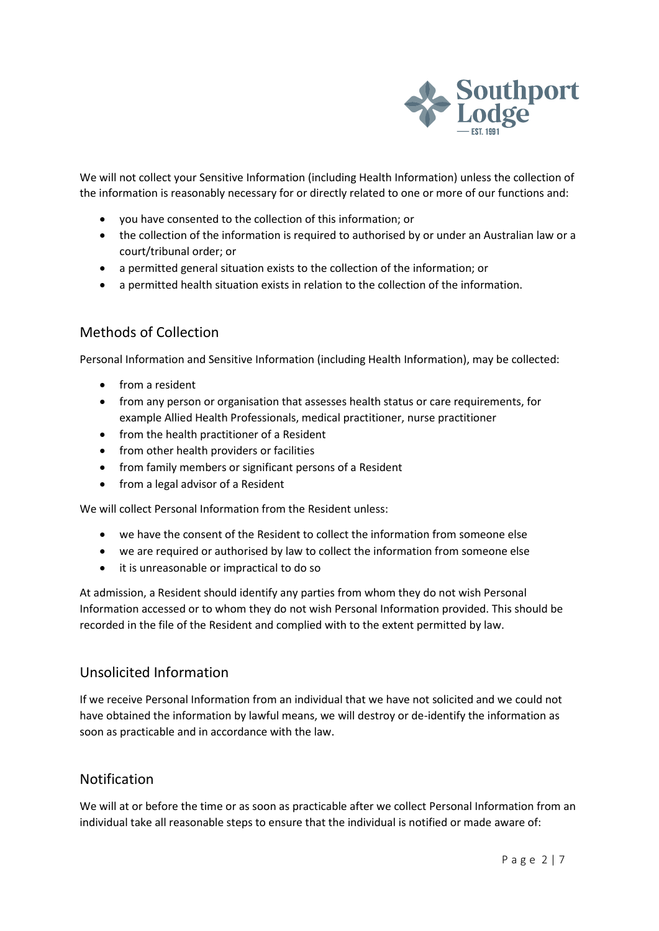

We will not collect your Sensitive Information (including Health Information) unless the collection of the information is reasonably necessary for or directly related to one or more of our functions and:

- you have consented to the collection of this information; or
- the collection of the information is required to authorised by or under an Australian law or a court/tribunal order; or
- a permitted general situation exists to the collection of the information; or
- a permitted health situation exists in relation to the collection of the information.

### Methods of Collection

Personal Information and Sensitive Information (including Health Information), may be collected:

- from a resident
- from any person or organisation that assesses health status or care requirements, for example Allied Health Professionals, medical practitioner, nurse practitioner
- from the health practitioner of a Resident
- from other health providers or facilities
- from family members or significant persons of a Resident
- from a legal advisor of a Resident

We will collect Personal Information from the Resident unless:

- we have the consent of the Resident to collect the information from someone else
- we are required or authorised by law to collect the information from someone else
- it is unreasonable or impractical to do so

At admission, a Resident should identify any parties from whom they do not wish Personal Information accessed or to whom they do not wish Personal Information provided. This should be recorded in the file of the Resident and complied with to the extent permitted by law.

# Unsolicited Information

If we receive Personal Information from an individual that we have not solicited and we could not have obtained the information by lawful means, we will destroy or de-identify the information as soon as practicable and in accordance with the law.

#### Notification

We will at or before the time or as soon as practicable after we collect Personal Information from an individual take all reasonable steps to ensure that the individual is notified or made aware of: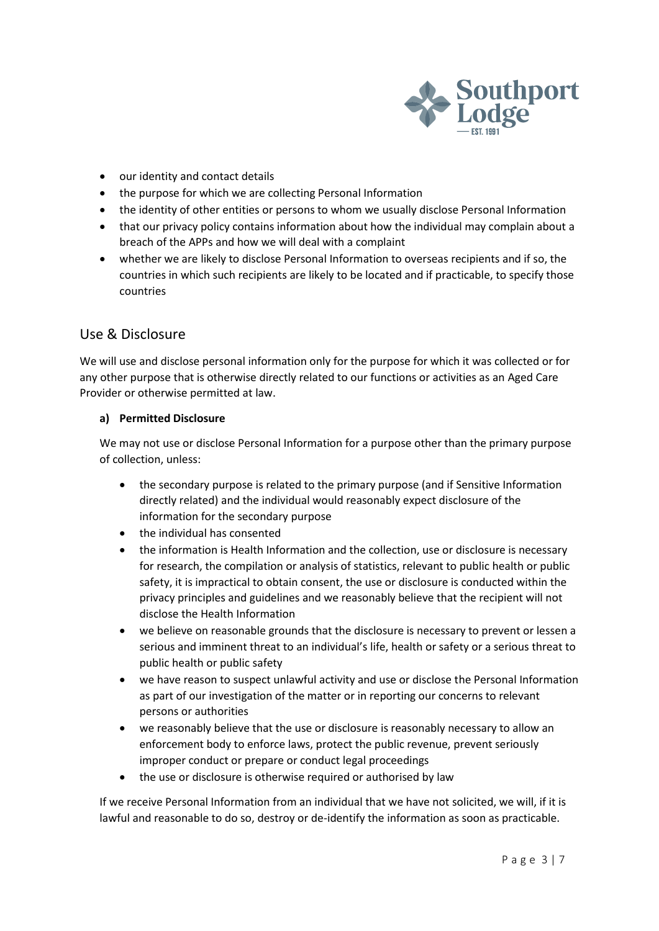

- our identity and contact details
- the purpose for which we are collecting Personal Information
- the identity of other entities or persons to whom we usually disclose Personal Information
- that our privacy policy contains information about how the individual may complain about a breach of the APPs and how we will deal with a complaint
- whether we are likely to disclose Personal Information to overseas recipients and if so, the countries in which such recipients are likely to be located and if practicable, to specify those countries

# Use & Disclosure

We will use and disclose personal information only for the purpose for which it was collected or for any other purpose that is otherwise directly related to our functions or activities as an Aged Care Provider or otherwise permitted at law.

#### **a) Permitted Disclosure**

We may not use or disclose Personal Information for a purpose other than the primary purpose of collection, unless:

- the secondary purpose is related to the primary purpose (and if Sensitive Information directly related) and the individual would reasonably expect disclosure of the information for the secondary purpose
- the individual has consented
- the information is Health Information and the collection, use or disclosure is necessary for research, the compilation or analysis of statistics, relevant to public health or public safety, it is impractical to obtain consent, the use or disclosure is conducted within the privacy principles and guidelines and we reasonably believe that the recipient will not disclose the Health Information
- we believe on reasonable grounds that the disclosure is necessary to prevent or lessen a serious and imminent threat to an individual's life, health or safety or a serious threat to public health or public safety
- we have reason to suspect unlawful activity and use or disclose the Personal Information as part of our investigation of the matter or in reporting our concerns to relevant persons or authorities
- we reasonably believe that the use or disclosure is reasonably necessary to allow an enforcement body to enforce laws, protect the public revenue, prevent seriously improper conduct or prepare or conduct legal proceedings
- the use or disclosure is otherwise required or authorised by law

If we receive Personal Information from an individual that we have not solicited, we will, if it is lawful and reasonable to do so, destroy or de-identify the information as soon as practicable.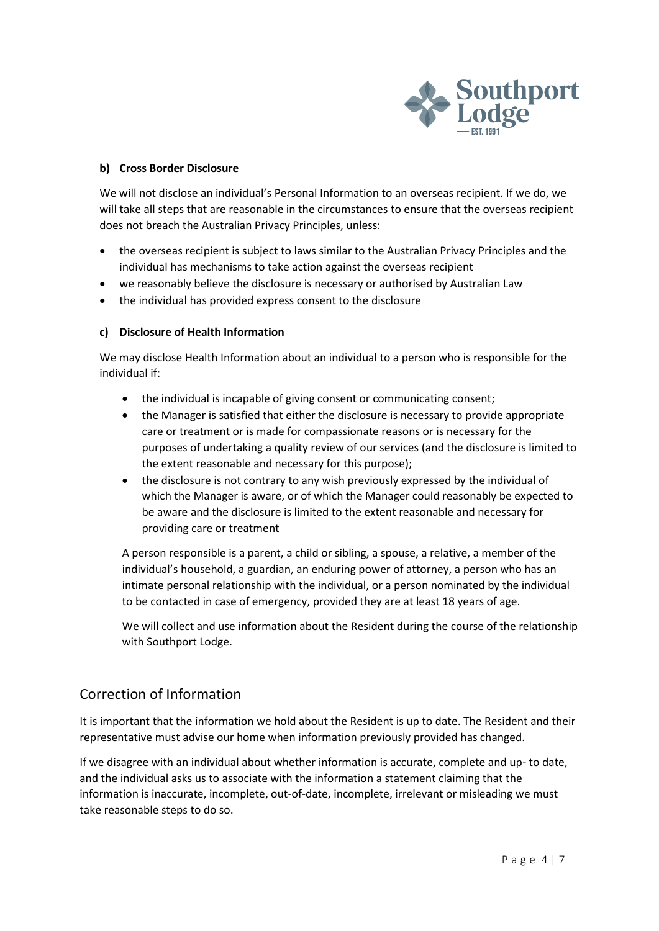

#### **b) Cross Border Disclosure**

We will not disclose an individual's Personal Information to an overseas recipient. If we do, we will take all steps that are reasonable in the circumstances to ensure that the overseas recipient does not breach the Australian Privacy Principles, unless:

- the overseas recipient is subject to laws similar to the Australian Privacy Principles and the individual has mechanisms to take action against the overseas recipient
- we reasonably believe the disclosure is necessary or authorised by Australian Law
- the individual has provided express consent to the disclosure

#### **c) Disclosure of Health Information**

We may disclose Health Information about an individual to a person who is responsible for the individual if:

- the individual is incapable of giving consent or communicating consent;
- the Manager is satisfied that either the disclosure is necessary to provide appropriate care or treatment or is made for compassionate reasons or is necessary for the purposes of undertaking a quality review of our services (and the disclosure is limited to the extent reasonable and necessary for this purpose);
- the disclosure is not contrary to any wish previously expressed by the individual of which the Manager is aware, or of which the Manager could reasonably be expected to be aware and the disclosure is limited to the extent reasonable and necessary for providing care or treatment

A person responsible is a parent, a child or sibling, a spouse, a relative, a member of the individual's household, a guardian, an enduring power of attorney, a person who has an intimate personal relationship with the individual, or a person nominated by the individual to be contacted in case of emergency, provided they are at least 18 years of age.

We will collect and use information about the Resident during the course of the relationship with Southport Lodge.

# Correction of Information

It is important that the information we hold about the Resident is up to date. The Resident and their representative must advise our home when information previously provided has changed.

If we disagree with an individual about whether information is accurate, complete and up- to date, and the individual asks us to associate with the information a statement claiming that the information is inaccurate, incomplete, out-of-date, incomplete, irrelevant or misleading we must take reasonable steps to do so.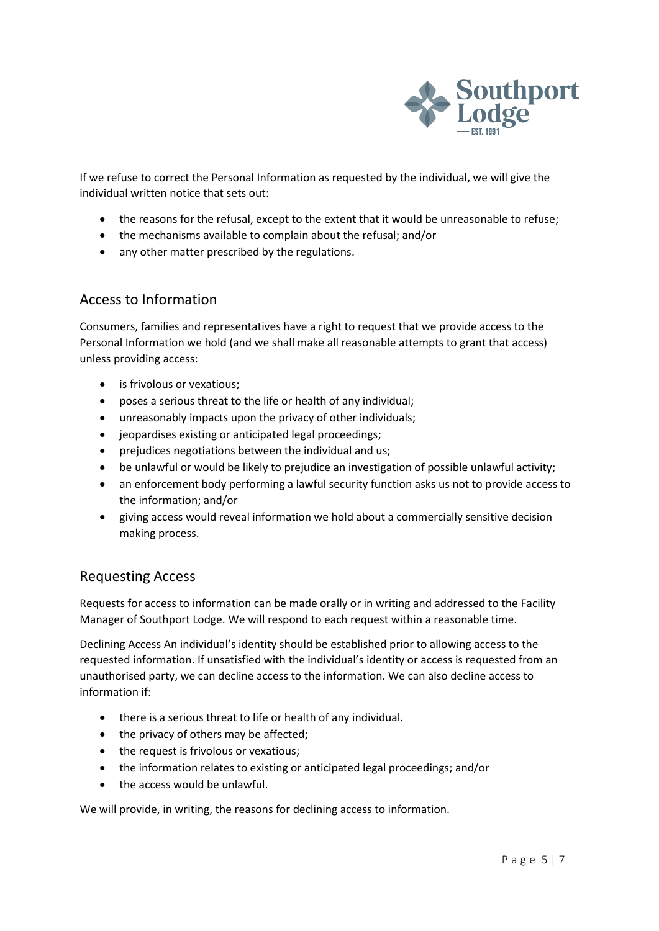

If we refuse to correct the Personal Information as requested by the individual, we will give the individual written notice that sets out:

- the reasons for the refusal, except to the extent that it would be unreasonable to refuse;
- the mechanisms available to complain about the refusal; and/or
- any other matter prescribed by the regulations.

# Access to Information

Consumers, families and representatives have a right to request that we provide access to the Personal Information we hold (and we shall make all reasonable attempts to grant that access) unless providing access:

- is frivolous or vexatious;
- poses a serious threat to the life or health of any individual;
- unreasonably impacts upon the privacy of other individuals;
- jeopardises existing or anticipated legal proceedings;
- prejudices negotiations between the individual and us;
- be unlawful or would be likely to prejudice an investigation of possible unlawful activity;
- an enforcement body performing a lawful security function asks us not to provide access to the information; and/or
- giving access would reveal information we hold about a commercially sensitive decision making process.

# Requesting Access

Requests for access to information can be made orally or in writing and addressed to the Facility Manager of Southport Lodge. We will respond to each request within a reasonable time.

Declining Access An individual's identity should be established prior to allowing access to the requested information. If unsatisfied with the individual's identity or access is requested from an unauthorised party, we can decline access to the information. We can also decline access to information if:

- there is a serious threat to life or health of any individual.
- the privacy of others may be affected;
- the request is frivolous or vexatious;
- the information relates to existing or anticipated legal proceedings; and/or
- the access would be unlawful.

We will provide, in writing, the reasons for declining access to information.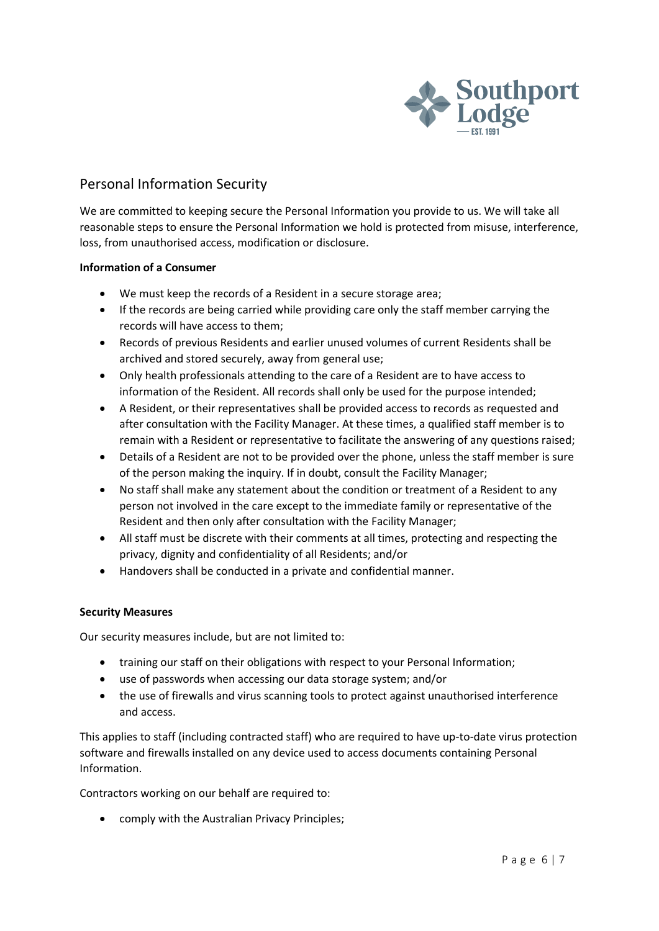

# Personal Information Security

We are committed to keeping secure the Personal Information you provide to us. We will take all reasonable steps to ensure the Personal Information we hold is protected from misuse, interference, loss, from unauthorised access, modification or disclosure.

#### **Information of a Consumer**

- We must keep the records of a Resident in a secure storage area;
- If the records are being carried while providing care only the staff member carrying the records will have access to them;
- Records of previous Residents and earlier unused volumes of current Residents shall be archived and stored securely, away from general use;
- Only health professionals attending to the care of a Resident are to have access to information of the Resident. All records shall only be used for the purpose intended;
- A Resident, or their representatives shall be provided access to records as requested and after consultation with the Facility Manager. At these times, a qualified staff member is to remain with a Resident or representative to facilitate the answering of any questions raised;
- Details of a Resident are not to be provided over the phone, unless the staff member is sure of the person making the inquiry. If in doubt, consult the Facility Manager;
- No staff shall make any statement about the condition or treatment of a Resident to any person not involved in the care except to the immediate family or representative of the Resident and then only after consultation with the Facility Manager;
- All staff must be discrete with their comments at all times, protecting and respecting the privacy, dignity and confidentiality of all Residents; and/or
- Handovers shall be conducted in a private and confidential manner.

#### **Security Measures**

Our security measures include, but are not limited to:

- training our staff on their obligations with respect to your Personal Information;
- use of passwords when accessing our data storage system; and/or
- the use of firewalls and virus scanning tools to protect against unauthorised interference and access.

This applies to staff (including contracted staff) who are required to have up-to-date virus protection software and firewalls installed on any device used to access documents containing Personal Information.

Contractors working on our behalf are required to:

• comply with the Australian Privacy Principles;